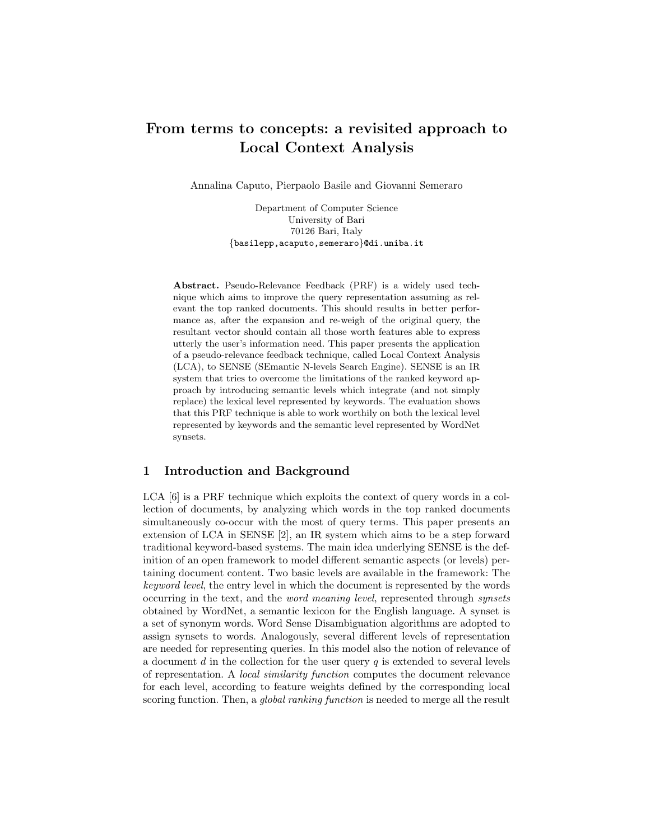# From terms to concepts: a revisited approach to Local Context Analysis

Annalina Caputo, Pierpaolo Basile and Giovanni Semeraro

Department of Computer Science University of Bari 70126 Bari, Italy {basilepp,acaputo,semeraro}@di.uniba.it

Abstract. Pseudo-Relevance Feedback (PRF) is a widely used technique which aims to improve the query representation assuming as relevant the top ranked documents. This should results in better performance as, after the expansion and re-weigh of the original query, the resultant vector should contain all those worth features able to express utterly the user's information need. This paper presents the application of a pseudo-relevance feedback technique, called Local Context Analysis (LCA), to SENSE (SEmantic N-levels Search Engine). SENSE is an IR system that tries to overcome the limitations of the ranked keyword approach by introducing semantic levels which integrate (and not simply replace) the lexical level represented by keywords. The evaluation shows that this PRF technique is able to work worthily on both the lexical level represented by keywords and the semantic level represented by WordNet synsets.

## 1 Introduction and Background

LCA [6] is a PRF technique which exploits the context of query words in a collection of documents, by analyzing which words in the top ranked documents simultaneously co-occur with the most of query terms. This paper presents an extension of LCA in SENSE [2], an IR system which aims to be a step forward traditional keyword-based systems. The main idea underlying SENSE is the definition of an open framework to model different semantic aspects (or levels) pertaining document content. Two basic levels are available in the framework: The keyword level, the entry level in which the document is represented by the words occurring in the text, and the word meaning level, represented through synsets obtained by WordNet, a semantic lexicon for the English language. A synset is a set of synonym words. Word Sense Disambiguation algorithms are adopted to assign synsets to words. Analogously, several different levels of representation are needed for representing queries. In this model also the notion of relevance of a document  $d$  in the collection for the user query  $q$  is extended to several levels of representation. A local similarity function computes the document relevance for each level, according to feature weights defined by the corresponding local scoring function. Then, a *global ranking function* is needed to merge all the result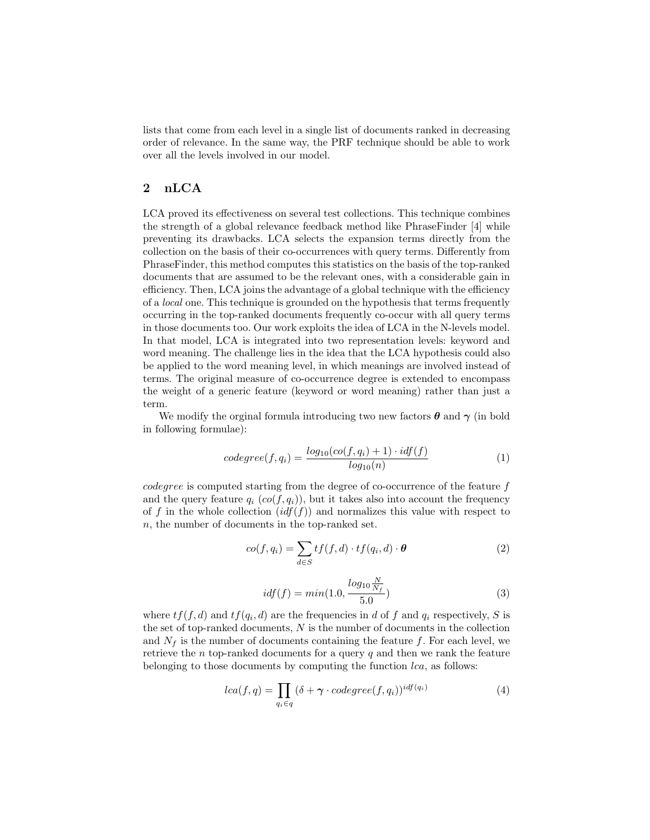lists that come from each level in a single list of documents ranked in decreasing order of relevance. In the same way, the PRF technique should be able to work over all the levels involved in our model.

#### 2 nLCA

LCA proved its effectiveness on several test collections. This technique combines the strength of a global relevance feedback method like PhraseFinder [4] while preventing its drawbacks. LCA selects the expansion terms directly from the collection on the basis of their co-occurrences with query terms. Differently from PhraseFinder, this method computes this statistics on the basis of the top-ranked documents that are assumed to be the relevant ones, with a considerable gain in efficiency. Then, LCA joins the advantage of a global technique with the efficiency of a local one. This technique is grounded on the hypothesis that terms frequently occurring in the top-ranked documents frequently co-occur with all query terms in those documents too. Our work exploits the idea of LCA in the N-levels model. In that model, LCA is integrated into two representation levels: keyword and word meaning. The challenge lies in the idea that the LCA hypothesis could also be applied to the word meaning level, in which meanings are involved instead of terms. The original measure of co-occurrence degree is extended to encompass the weight of a generic feature (keyword or word meaning) rather than just a term.

We modify the orginal formula introducing two new factors  $\boldsymbol{\theta}$  and  $\boldsymbol{\gamma}$  (in bold in following formulae):

$$
codegree(f, q_i) = \frac{log_{10}(co(f, q_i) + 1) \cdot idf(f)}{log_{10}(n)}
$$
\n(1)

codegree is computed starting from the degree of co-occurrence of the feature f and the query feature  $q_i$  ( $co(f, q_i)$ ), but it takes also into account the frequency of f in the whole collection  $(idf(f))$  and normalizes this value with respect to n, the number of documents in the top-ranked set.

$$
co(f, q_i) = \sum_{d \in S} tf(f, d) \cdot tf(q_i, d) \cdot \theta \tag{2}
$$

$$
idf(f) = min(1.0, \frac{log_{10} \frac{N}{N_f}}{5.0})
$$
\n(3)

where  $tf(f, d)$  and  $tf(q_i, d)$  are the frequencies in d of f and  $q_i$  respectively, S is the set of top-ranked documents,  $N$  is the number of documents in the collection and  $N_f$  is the number of documents containing the feature f. For each level, we retrieve the  $n$  top-ranked documents for a query  $q$  and then we rank the feature belonging to those documents by computing the function  $lca$ , as follows:

$$
lca(f,q) = \prod_{q_i \in q} (\delta + \gamma \cdot codegree(f,q_i))^{idf(q_i)}
$$
(4)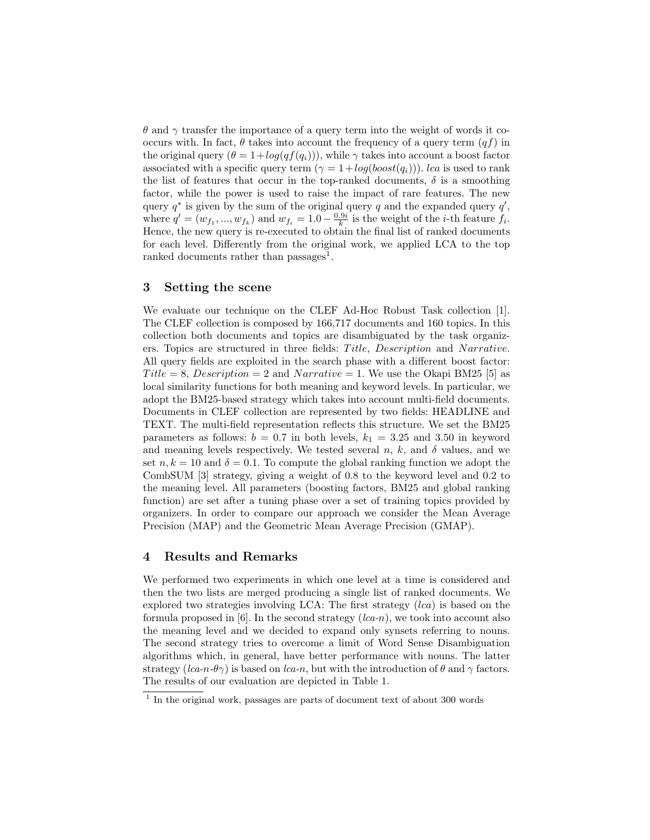$\theta$  and  $\gamma$  transfer the importance of a query term into the weight of words it cooccurs with. In fact,  $\theta$  takes into account the frequency of a query term  $(qf)$  in the original query  $(\theta = 1 + log(q f(q_i)))$ , while  $\gamma$  takes into account a boost factor associated with a specific query term  $(\gamma = 1 + log(bosst(q_i)))$ . *lca* is used to rank the list of features that occur in the top-ranked documents,  $\delta$  is a smoothing factor, while the power is used to raise the impact of rare features. The new query  $q^*$  is given by the sum of the original query q and the expanded query  $q'$ , where  $q' = (w_{f_1}, ..., w_{f_k})$  and  $w_{f_i} = 1.0 - \frac{0.9i}{k}$  is the weight of the *i*-th feature  $f_i$ . Hence, the new query is re-executed to obtain the final list of ranked documents for each level. Differently from the original work, we applied LCA to the top ranked documents rather than passages<sup>1</sup>.

#### 3 Setting the scene

We evaluate our technique on the CLEF Ad-Hoc Robust Task collection [1]. The CLEF collection is composed by 166,717 documents and 160 topics. In this collection both documents and topics are disambiguated by the task organizers. Topics are structured in three fields: Title, Description and Narrative. All query fields are exploited in the search phase with a different boost factor: Title = 8, Description = 2 and Narrative = 1. We use the Okapi BM25 [5] as local similarity functions for both meaning and keyword levels. In particular, we adopt the BM25-based strategy which takes into account multi-field documents. Documents in CLEF collection are represented by two fields: HEADLINE and TEXT. The multi-field representation reflects this structure. We set the BM25 parameters as follows:  $b = 0.7$  in both levels,  $k_1 = 3.25$  and 3.50 in keyword and meaning levels respectively. We tested several n, k, and  $\delta$  values, and we set  $n, k = 10$  and  $\delta = 0.1$ . To compute the global ranking function we adopt the CombSUM [3] strategy, giving a weight of 0.8 to the keyword level and 0.2 to the meaning level. All parameters (boosting factors, BM25 and global ranking function) are set after a tuning phase over a set of training topics provided by organizers. In order to compare our approach we consider the Mean Average Precision (MAP) and the Geometric Mean Average Precision (GMAP).

#### 4 Results and Remarks

We performed two experiments in which one level at a time is considered and then the two lists are merged producing a single list of ranked documents. We explored two strategies involving LCA: The first strategy  $(lca)$  is based on the formula proposed in  $[6]$ . In the second strategy  $(lca-n)$ , we took into account also the meaning level and we decided to expand only synsets referring to nouns. The second strategy tries to overcome a limit of Word Sense Disambiguation algorithms which, in general, have better performance with nouns. The latter strategy ( $lca-n-\theta\gamma$ ) is based on  $lca-n$ , but with the introduction of  $\theta$  and  $\gamma$  factors. The results of our evaluation are depicted in Table 1.

<sup>&</sup>lt;sup>1</sup> In the original work, passages are parts of document text of about 300 words